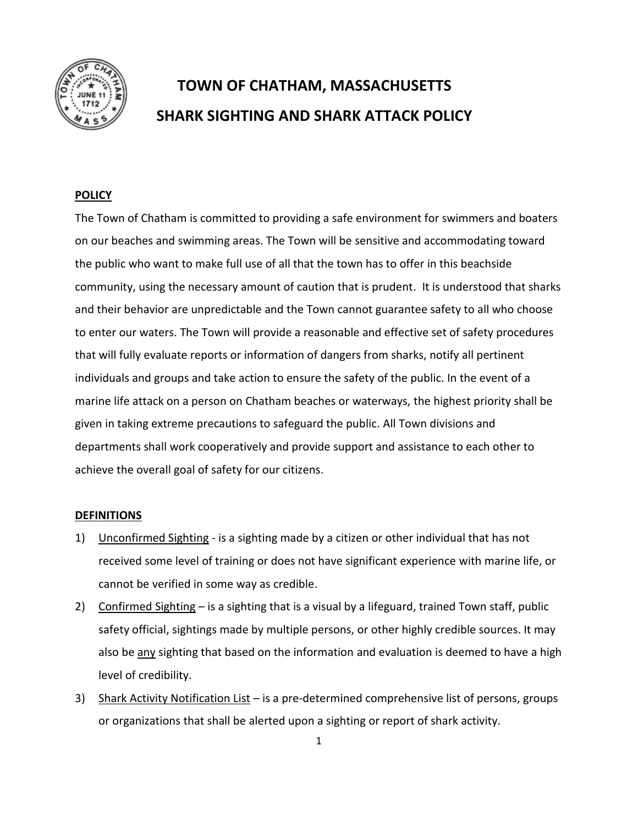

# **TOWN OF CHATHAM, MASSACHUSETTS SHARK SIGHTING AND SHARK ATTACK POLICY**

#### **POLICY**

The Town of Chatham is committed to providing a safe environment for swimmers and boaters on our beaches and swimming areas. The Town will be sensitive and accommodating toward the public who want to make full use of all that the town has to offer in this beachside community, using the necessary amount of caution that is prudent. It is understood that sharks and their behavior are unpredictable and the Town cannot guarantee safety to all who choose to enter our waters. The Town will provide a reasonable and effective set of safety procedures that will fully evaluate reports or information of dangers from sharks, notify all pertinent individuals and groups and take action to ensure the safety of the public. In the event of a marine life attack on a person on Chatham beaches or waterways, the highest priority shall be given in taking extreme precautions to safeguard the public. All Town divisions and departments shall work cooperatively and provide support and assistance to each other to achieve the overall goal of safety for our citizens.

#### **DEFINITIONS**

- 1) Unconfirmed Sighting is a sighting made by a citizen or other individual that has not received some level of training or does not have significant experience with marine life, or cannot be verified in some way as credible.
- 2) Confirmed Sighting is a sighting that is a visual by a lifeguard, trained Town staff, public safety official, sightings made by multiple persons, or other highly credible sources. It may also be any sighting that based on the information and evaluation is deemed to have a high level of credibility.
- 3) Shark Activity Notification List is a pre-determined comprehensive list of persons, groups or organizations that shall be alerted upon a sighting or report of shark activity.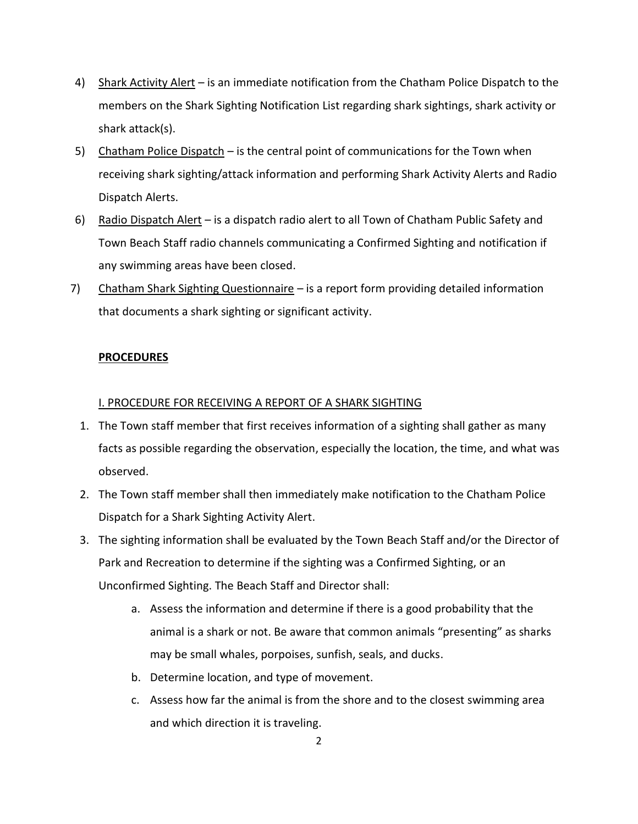- 4) Shark Activity Alert is an immediate notification from the Chatham Police Dispatch to the members on the Shark Sighting Notification List regarding shark sightings, shark activity or shark attack(s).
- 5) Chatham Police Dispatch is the central point of communications for the Town when receiving shark sighting/attack information and performing Shark Activity Alerts and Radio Dispatch Alerts.
- 6) Radio Dispatch Alert is a dispatch radio alert to all Town of Chatham Public Safety and Town Beach Staff radio channels communicating a Confirmed Sighting and notification if any swimming areas have been closed.
- 7) Chatham Shark Sighting Questionnaire  $-$  is a report form providing detailed information that documents a shark sighting or significant activity.

### **PROCEDURES**

#### I. PROCEDURE FOR RECEIVING A REPORT OF A SHARK SIGHTING

- 1. The Town staff member that first receives information of a sighting shall gather as many facts as possible regarding the observation, especially the location, the time, and what was observed.
- 2. The Town staff member shall then immediately make notification to the Chatham Police Dispatch for a Shark Sighting Activity Alert.
- 3. The sighting information shall be evaluated by the Town Beach Staff and/or the Director of Park and Recreation to determine if the sighting was a Confirmed Sighting, or an Unconfirmed Sighting. The Beach Staff and Director shall:
	- a. Assess the information and determine if there is a good probability that the animal is a shark or not. Be aware that common animals "presenting" as sharks may be small whales, porpoises, sunfish, seals, and ducks.
	- b. Determine location, and type of movement.
	- c. Assess how far the animal is from the shore and to the closest swimming area and which direction it is traveling.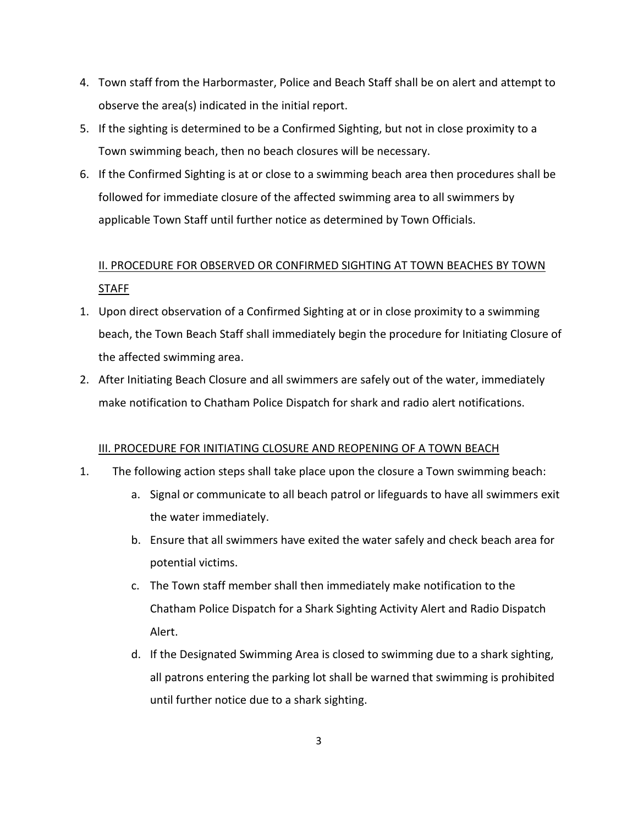- 4. Town staff from the Harbormaster, Police and Beach Staff shall be on alert and attempt to observe the area(s) indicated in the initial report.
- 5. If the sighting is determined to be a Confirmed Sighting, but not in close proximity to a Town swimming beach, then no beach closures will be necessary.
- 6. If the Confirmed Sighting is at or close to a swimming beach area then procedures shall be followed for immediate closure of the affected swimming area to all swimmers by applicable Town Staff until further notice as determined by Town Officials.

# II. PROCEDURE FOR OBSERVED OR CONFIRMED SIGHTING AT TOWN BEACHES BY TOWN STAFF

- 1. Upon direct observation of a Confirmed Sighting at or in close proximity to a swimming beach, the Town Beach Staff shall immediately begin the procedure for Initiating Closure of the affected swimming area.
- 2. After Initiating Beach Closure and all swimmers are safely out of the water, immediately make notification to Chatham Police Dispatch for shark and radio alert notifications.

### III. PROCEDURE FOR INITIATING CLOSURE AND REOPENING OF A TOWN BEACH

- 1. The following action steps shall take place upon the closure a Town swimming beach:
	- a. Signal or communicate to all beach patrol or lifeguards to have all swimmers exit the water immediately.
	- b. Ensure that all swimmers have exited the water safely and check beach area for potential victims.
	- c. The Town staff member shall then immediately make notification to the Chatham Police Dispatch for a Shark Sighting Activity Alert and Radio Dispatch Alert.
	- d. If the Designated Swimming Area is closed to swimming due to a shark sighting, all patrons entering the parking lot shall be warned that swimming is prohibited until further notice due to a shark sighting.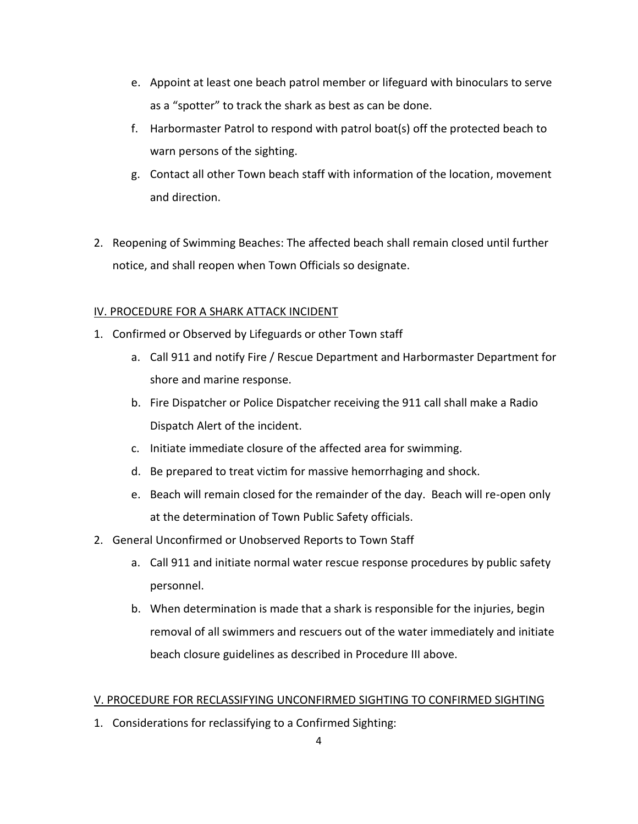- e. Appoint at least one beach patrol member or lifeguard with binoculars to serve as a "spotter" to track the shark as best as can be done.
- f. Harbormaster Patrol to respond with patrol boat(s) off the protected beach to warn persons of the sighting.
- g. Contact all other Town beach staff with information of the location, movement and direction.
- 2. Reopening of Swimming Beaches: The affected beach shall remain closed until further notice, and shall reopen when Town Officials so designate.

## IV. PROCEDURE FOR A SHARK ATTACK INCIDENT

- 1. Confirmed or Observed by Lifeguards or other Town staff
	- a. Call 911 and notify Fire / Rescue Department and Harbormaster Department for shore and marine response.
	- b. Fire Dispatcher or Police Dispatcher receiving the 911 call shall make a Radio Dispatch Alert of the incident.
	- c. Initiate immediate closure of the affected area for swimming.
	- d. Be prepared to treat victim for massive hemorrhaging and shock.
	- e. Beach will remain closed for the remainder of the day. Beach will re-open only at the determination of Town Public Safety officials.
- 2. General Unconfirmed or Unobserved Reports to Town Staff
	- a. Call 911 and initiate normal water rescue response procedures by public safety personnel.
	- b. When determination is made that a shark is responsible for the injuries, begin removal of all swimmers and rescuers out of the water immediately and initiate beach closure guidelines as described in Procedure III above.

### V. PROCEDURE FOR RECLASSIFYING UNCONFIRMED SIGHTING TO CONFIRMED SIGHTING

1. Considerations for reclassifying to a Confirmed Sighting: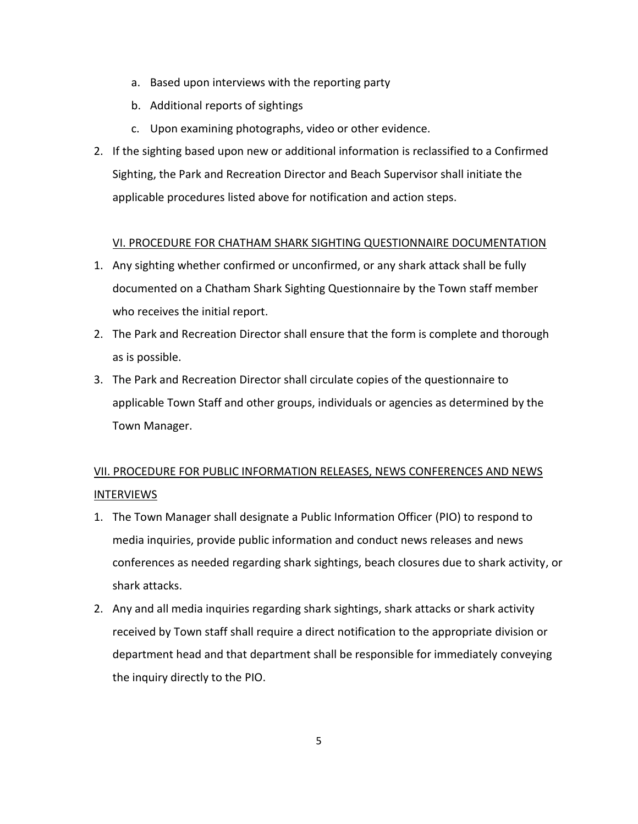- a. Based upon interviews with the reporting party
- b. Additional reports of sightings
- c. Upon examining photographs, video or other evidence.
- 2. If the sighting based upon new or additional information is reclassified to a Confirmed Sighting, the Park and Recreation Director and Beach Supervisor shall initiate the applicable procedures listed above for notification and action steps.

#### VI. PROCEDURE FOR CHATHAM SHARK SIGHTING QUESTIONNAIRE DOCUMENTATION

- 1. Any sighting whether confirmed or unconfirmed, or any shark attack shall be fully documented on a Chatham Shark Sighting Questionnaire by the Town staff member who receives the initial report.
- 2. The Park and Recreation Director shall ensure that the form is complete and thorough as is possible.
- 3. The Park and Recreation Director shall circulate copies of the questionnaire to applicable Town Staff and other groups, individuals or agencies as determined by the Town Manager.

## VII. PROCEDURE FOR PUBLIC INFORMATION RELEASES, NEWS CONFERENCES AND NEWS INTERVIEWS

- 1. The Town Manager shall designate a Public Information Officer (PIO) to respond to media inquiries, provide public information and conduct news releases and news conferences as needed regarding shark sightings, beach closures due to shark activity, or shark attacks.
- 2. Any and all media inquiries regarding shark sightings, shark attacks or shark activity received by Town staff shall require a direct notification to the appropriate division or department head and that department shall be responsible for immediately conveying the inquiry directly to the PIO.